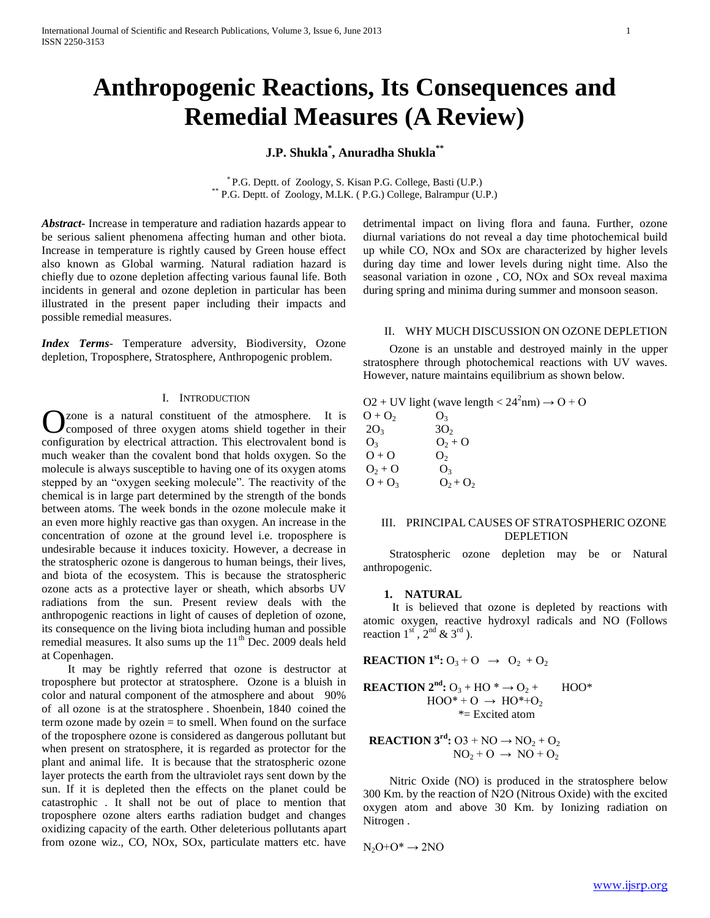# **Anthropogenic Reactions, Its Consequences and Remedial Measures (A Review)**

# **J.P. Shukla\* , Anuradha Shukla\*\***

\* P.G. Deptt. of Zoology, S. Kisan P.G. College, Basti (U.P.) \*\* P.G. Deptt. of Zoology, M.LK. ( P.G.) College, Balrampur (U.P.)

*Abstract***-** Increase in temperature and radiation hazards appear to be serious salient phenomena affecting human and other biota. Increase in temperature is rightly caused by Green house effect also known as Global warming. Natural radiation hazard is chiefly due to ozone depletion affecting various faunal life. Both incidents in general and ozone depletion in particular has been illustrated in the present paper including their impacts and possible remedial measures.

*Index Terms*- Temperature adversity, Biodiversity, Ozone depletion, Troposphere, Stratosphere, Anthropogenic problem.

#### I. INTRODUCTION

zone is a natural constituent of the atmosphere. It is composed of three oxygen atoms shield together in their **C** zone is a natural constituent of the atmosphere. It is composed of three oxygen atoms shield together in their configuration by electrical attraction. This electrovalent bond is much weaker than the covalent bond that holds oxygen. So the molecule is always susceptible to having one of its oxygen atoms stepped by an "oxygen seeking molecule". The reactivity of the chemical is in large part determined by the strength of the bonds between atoms. The week bonds in the ozone molecule make it an even more highly reactive gas than oxygen. An increase in the concentration of ozone at the ground level i.e. troposphere is undesirable because it induces toxicity. However, a decrease in the stratospheric ozone is dangerous to human beings, their lives, and biota of the ecosystem. This is because the stratospheric ozone acts as a protective layer or sheath, which absorbs UV radiations from the sun. Present review deals with the anthropogenic reactions in light of causes of depletion of ozone, its consequence on the living biota including human and possible remedial measures. It also sums up the  $11<sup>th</sup>$  Dec. 2009 deals held at Copenhagen.

 It may be rightly referred that ozone is destructor at troposphere but protector at stratosphere. Ozone is a bluish in color and natural component of the atmosphere and about 90% of all ozone is at the stratosphere . Shoenbein, 1840 coined the term ozone made by ozein = to smell. When found on the surface of the troposphere ozone is considered as dangerous pollutant but when present on stratosphere, it is regarded as protector for the plant and animal life. It is because that the stratospheric ozone layer protects the earth from the ultraviolet rays sent down by the sun. If it is depleted then the effects on the planet could be catastrophic . It shall not be out of place to mention that troposphere ozone alters earths radiation budget and changes oxidizing capacity of the earth. Other deleterious pollutants apart from ozone wiz., CO, NOx, SOx, particulate matters etc. have

detrimental impact on living flora and fauna. Further, ozone diurnal variations do not reveal a day time photochemical build up while CO, NOx and SOx are characterized by higher levels during day time and lower levels during night time. Also the seasonal variation in ozone , CO, NOx and SOx reveal maxima during spring and minima during summer and monsoon season.

#### II. WHY MUCH DISCUSSION ON OZONE DEPLETION

 Ozone is an unstable and destroyed mainly in the upper stratosphere through photochemical reactions with UV waves. However, nature maintains equilibrium as shown below.

 $O2 + UV$  light (wave length <  $24^2$ nm)  $\rightarrow$  O + O

| $O + O2$       | O <sub>3</sub>  |
|----------------|-----------------|
| $2O_3$         | 3O <sub>2</sub> |
| O <sub>3</sub> | $O_2 + O$       |
| $O + O$        | O <sub>2</sub>  |
| $O_2 + O$      | O <sub>3</sub>  |
| $O + O_3$      | $O_2 + O_2$     |

#### III. PRINCIPAL CAUSES OF STRATOSPHERIC OZONE DEPLETION

 Stratospheric ozone depletion may be or Natural anthropogenic.

#### **1. NATURAL**

 It is believed that ozone is depleted by reactions with atomic oxygen, reactive hydroxyl radicals and NO (Follows reaction  $1<sup>st</sup>$ ,  $2<sup>nd</sup>$  &  $3<sup>rd</sup>$ ).

**REACTION 1<sup>st</sup>**:  $O_3 + O \rightarrow O_2 + O_2$ 

**REACTION 2<sup>nd</sup>:**  $O_3$  **+ HO<sup>\*</sup>**  $\rightarrow$  $O_2$  **+ HOO<sup>\*</sup>**  $HOO^* + O \rightarrow HO^* + O_2$ \*= Excited atom

**REACTION** 
$$
3^{\text{rd}}
$$
: 03 + NO  $\rightarrow$  NO<sub>2</sub> + O<sub>2</sub>  
NO<sub>2</sub> + O  $\rightarrow$  NO + O<sub>2</sub>

 Nitric Oxide (NO) is produced in the stratosphere below 300 Km. by the reaction of N2O (Nitrous Oxide) with the excited oxygen atom and above 30 Km. by Ionizing radiation on Nitrogen .

 $N_2O+O^* \rightarrow 2NO$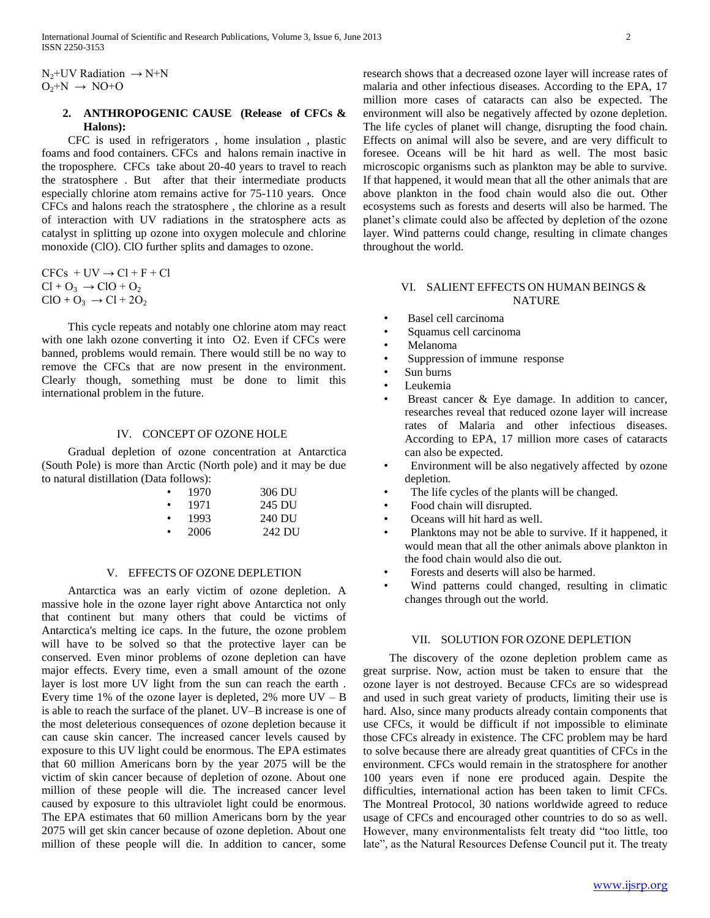$N_2$ +UV Radiation  $\rightarrow$  N+N  $O_2+N \rightarrow NO+O$ 

# **2. ANTHROPOGENIC CAUSE (Release of CFCs & Halons):**

 CFC is used in refrigerators , home insulation , plastic foams and food containers. CFCs and halons remain inactive in the troposphere. CFCs take about 20-40 years to travel to reach the stratosphere . But after that their intermediate products especially chlorine atom remains active for 75-110 years. Once CFCs and halons reach the stratosphere , the chlorine as a result of interaction with UV radiations in the stratosphere acts as catalyst in splitting up ozone into oxygen molecule and chlorine monoxide (ClO). ClO further splits and damages to ozone.

 $CFCs + UV \rightarrow Cl + F + Cl$  $Cl + O_3 \rightarrow ClO + O_2$  $ClO + O_3 \rightarrow Cl + 2O_2$ 

 This cycle repeats and notably one chlorine atom may react with one lakh ozone converting it into O2. Even if CFCs were banned, problems would remain. There would still be no way to remove the CFCs that are now present in the environment. Clearly though, something must be done to limit this international problem in the future.

#### IV. CONCEPT OF OZONE HOLE

 Gradual depletion of ozone concentration at Antarctica (South Pole) is more than Arctic (North pole) and it may be due to natural distillation (Data follows):

|   | 1970 | 306 DU |
|---|------|--------|
| ٠ | 1971 | 245 DU |
| ٠ | 1993 | 240 DU |
|   | 2006 | 242 DU |

# V. EFFECTS OF OZONE DEPLETION

 Antarctica was an early victim of ozone depletion. A massive hole in the ozone layer right above Antarctica not only that continent but many others that could be victims of Antarctica's melting ice caps. In the future, the ozone problem will have to be solved so that the protective layer can be conserved. Even minor problems of ozone depletion can have major effects. Every time, even a small amount of the ozone layer is lost more UV light from the sun can reach the earth . Every time 1% of the ozone layer is depleted, 2% more  $UV - B$ is able to reach the surface of the planet. UV–B increase is one of the most deleterious consequences of ozone depletion because it can cause skin cancer. The increased cancer levels caused by exposure to this UV light could be enormous. The EPA estimates that 60 million Americans born by the year 2075 will be the victim of skin cancer because of depletion of ozone. About one million of these people will die. The increased cancer level caused by exposure to this ultraviolet light could be enormous. The EPA estimates that 60 million Americans born by the year 2075 will get skin cancer because of ozone depletion. About one million of these people will die. In addition to cancer, some

research shows that a decreased ozone layer will increase rates of malaria and other infectious diseases. According to the EPA, 17 million more cases of cataracts can also be expected. The environment will also be negatively affected by ozone depletion. The life cycles of planet will change, disrupting the food chain. Effects on animal will also be severe, and are very difficult to foresee. Oceans will be hit hard as well. The most basic microscopic organisms such as plankton may be able to survive. If that happened, it would mean that all the other animals that are above plankton in the food chain would also die out. Other ecosystems such as forests and deserts will also be harmed. The planet's climate could also be affected by depletion of the ozone layer. Wind patterns could change, resulting in climate changes throughout the world.

# VI. SALIENT EFFECTS ON HUMAN BEINGS & **NATURE**

- Basel cell carcinoma
- Squamus cell carcinoma
- Melanoma
- Suppression of immune response
- Sun burns
- Leukemia
- Breast cancer  $\&$  Eye damage. In addition to cancer, researches reveal that reduced ozone layer will increase rates of Malaria and other infectious diseases. According to EPA, 17 million more cases of cataracts can also be expected.
- Environment will be also negatively affected by ozone depletion.
- The life cycles of the plants will be changed.
- Food chain will disrupted.
- Oceans will hit hard as well.
- Planktons may not be able to survive. If it happened, it would mean that all the other animals above plankton in the food chain would also die out.
- Forests and deserts will also be harmed.
- Wind patterns could changed, resulting in climatic changes through out the world.

#### VII. SOLUTION FOR OZONE DEPLETION

 The discovery of the ozone depletion problem came as great surprise. Now, action must be taken to ensure that the ozone layer is not destroyed. Because CFCs are so widespread and used in such great variety of products, limiting their use is hard. Also, since many products already contain components that use CFCs, it would be difficult if not impossible to eliminate those CFCs already in existence. The CFC problem may be hard to solve because there are already great quantities of CFCs in the environment. CFCs would remain in the stratosphere for another 100 years even if none ere produced again. Despite the difficulties, international action has been taken to limit CFCs. The Montreal Protocol, 30 nations worldwide agreed to reduce usage of CFCs and encouraged other countries to do so as well. However, many environmentalists felt treaty did "too little, too late", as the Natural Resources Defense Council put it. The treaty